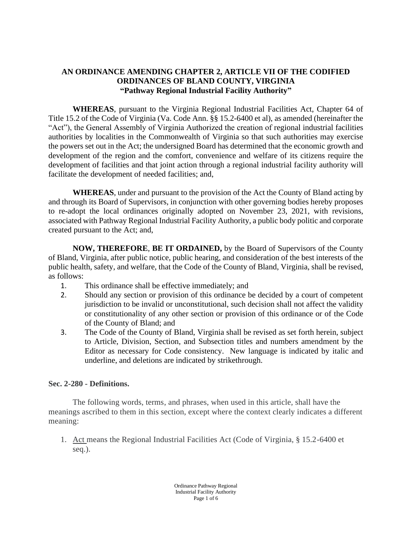# **AN ORDINANCE AMENDING CHAPTER 2, ARTICLE VII OF THE CODIFIED ORDINANCES OF BLAND COUNTY, VIRGINIA "Pathway Regional Industrial Facility Authority"**

**WHEREAS**, pursuant to the Virginia Regional Industrial Facilities Act, Chapter 64 of Title 15.2 of the Code of Virginia (Va. Code Ann. §§ 15.2-6400 et al), as amended (hereinafter the "Act"), the General Assembly of Virginia Authorized the creation of regional industrial facilities authorities by localities in the Commonwealth of Virginia so that such authorities may exercise the powers set out in the Act; the undersigned Board has determined that the economic growth and development of the region and the comfort, convenience and welfare of its citizens require the development of facilities and that joint action through a regional industrial facility authority will facilitate the development of needed facilities; and,

**WHEREAS**, under and pursuant to the provision of the Act the County of Bland acting by and through its Board of Supervisors, in conjunction with other governing bodies hereby proposes to re-adopt the local ordinances originally adopted on November 23, 2021, with revisions, associated with Pathway Regional Industrial Facility Authority, a public body politic and corporate created pursuant to the Act; and,

**NOW, THEREFORE**, **BE IT ORDAINED,** by the Board of Supervisors of the County of Bland, Virginia, after public notice, public hearing, and consideration of the best interests of the public health, safety, and welfare, that the Code of the County of Bland, Virginia, shall be revised, as follows:

- 1. This ordinance shall be effective immediately; and
- 2. Should any section or provision of this ordinance be decided by a court of competent jurisdiction to be invalid or unconstitutional, such decision shall not affect the validity or constitutionality of any other section or provision of this ordinance or of the Code of the County of Bland; and
- 3. The Code of the County of Bland, Virginia shall be revised as set forth herein, subject to Article, Division, Section, and Subsection titles and numbers amendment by the Editor as necessary for Code consistency. New language is indicated by italic and underline, and deletions are indicated by strikethrough.

### **Sec. 2-280 - Definitions.**

The following words, terms, and phrases, when used in this article, shall have the meanings ascribed to them in this section, except where the context clearly indicates a different meaning:

1. Act means the Regional Industrial Facilities Act (Code of Virginia, § 15.2-6400 et seq.).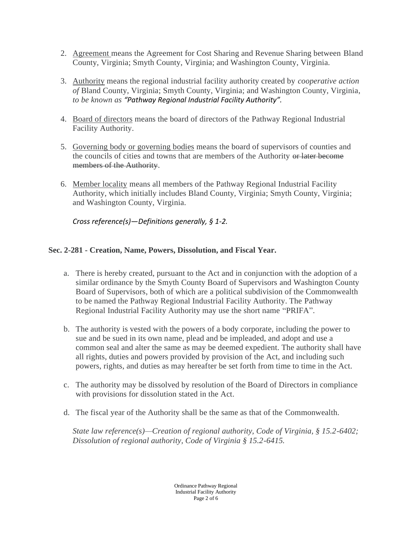- 2. Agreement means the Agreement for Cost Sharing and Revenue Sharing between Bland County, Virginia; Smyth County, Virginia; and Washington County, Virginia.
- 3. Authority means the regional industrial facility authority created by *cooperative action of* Bland County, Virginia; Smyth County, Virginia; and Washington County, Virginia, *to be known as "Pathway Regional Industrial Facility Authority".*
- 4. Board of directors means the board of directors of the Pathway Regional Industrial Facility Authority.
- 5. Governing body or governing bodies means the board of supervisors of counties and the councils of cities and towns that are members of the Authority or later become members of the Authority.
- 6. Member locality means all members of the Pathway Regional Industrial Facility Authority, which initially includes Bland County, Virginia; Smyth County, Virginia; and Washington County, Virginia.

*Cross reference(s)—Definitions generally, § 1-2.* 

# **Sec. 2-281 - Creation, Name, Powers, Dissolution, and Fiscal Year.**

- a. There is hereby created, pursuant to the Act and in conjunction with the adoption of a similar ordinance by the Smyth County Board of Supervisors and Washington County Board of Supervisors, both of which are a political subdivision of the Commonwealth to be named the Pathway Regional Industrial Facility Authority. The Pathway Regional Industrial Facility Authority may use the short name "PRIFA".
- b. The authority is vested with the powers of a body corporate, including the power to sue and be sued in its own name, plead and be impleaded, and adopt and use a common seal and alter the same as may be deemed expedient. The authority shall have all rights, duties and powers provided by provision of the Act, and including such powers, rights, and duties as may hereafter be set forth from time to time in the Act.
- c. The authority may be dissolved by resolution of the Board of Directors in compliance with provisions for dissolution stated in the Act.
- d. The fiscal year of the Authority shall be the same as that of the Commonwealth.

*State law reference(s)—Creation of regional authority, Code of Virginia, § 15.2-6402; Dissolution of regional authority, Code of Virginia § 15.2-6415.*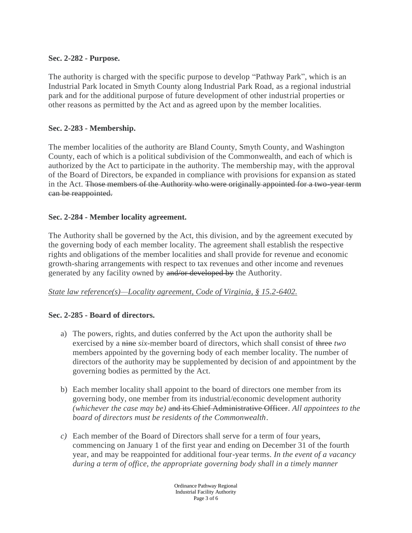### **Sec. 2-282 - Purpose.**

The authority is charged with the specific purpose to develop "Pathway Park", which is an Industrial Park located in Smyth County along Industrial Park Road, as a regional industrial park and for the additional purpose of future development of other industrial properties or other reasons as permitted by the Act and as agreed upon by the member localities.

## **Sec. 2-283 - Membership.**

The member localities of the authority are Bland County, Smyth County, and Washington County, each of which is a political subdivision of the Commonwealth, and each of which is authorized by the Act to participate in the authority. The membership may, with the approval of the Board of Directors, be expanded in compliance with provisions for expansion as stated in the Act. Those members of the Authority who were originally appointed for a two-year term can be reappointed.

## **Sec. 2-284 - Member locality agreement.**

The Authority shall be governed by the Act, this division, and by the agreement executed by the governing body of each member locality. The agreement shall establish the respective rights and obligations of the member localities and shall provide for revenue and economic growth-sharing arrangements with respect to tax revenues and other income and revenues generated by any facility owned by and/or developed by the Authority.

### *State law reference(s)—Locality agreement, Code of Virginia, § 15.2-6402.*

### **Sec. 2-285 - Board of directors.**

- a) The powers, rights, and duties conferred by the Act upon the authority shall be exercised by a nine *six*-member board of directors, which shall consist of three *two* members appointed by the governing body of each member locality. The number of directors of the authority may be supplemented by decision of and appointment by the governing bodies as permitted by the Act.
- b) Each member locality shall appoint to the board of directors one member from its governing body, one member from its industrial/economic development authority *(whichever the case may be)* and its Chief Administrative Officer. *All appointees to the board of directors must be residents of the Commonwealth*.
- *c)* Each member of the Board of Directors shall serve for a term of four years, commencing on January 1 of the first year and ending on December 31 of the fourth year, and may be reappointed for additional four-year terms. *In the event of a vacancy during a term of office, the appropriate governing body shall in a timely manner*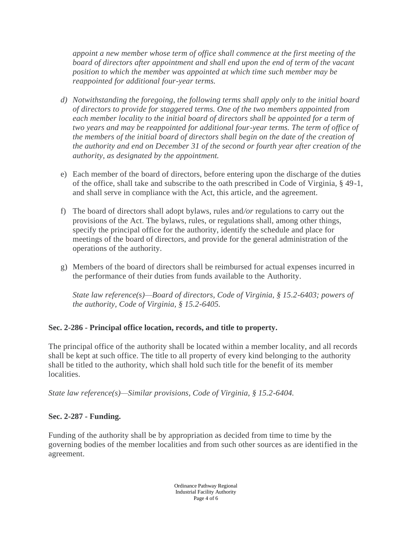*appoint a new member whose term of office shall commence at the first meeting of the board of directors after appointment and shall end upon the end of term of the vacant position to which the member was appointed at which time such member may be reappointed for additional four-year terms.*

- *d) Notwithstanding the foregoing, the following terms shall apply only to the initial board of directors to provide for staggered terms. One of the two members appointed from*  each member locality to the initial board of directors shall be appointed for a term of *two years and may be reappointed for additional four-year terms. The term of office of the members of the initial board of directors shall begin on the date of the creation of the authority and end on December 31 of the second or fourth year after creation of the authority, as designated by the appointment.*
- e) Each member of the board of directors, before entering upon the discharge of the duties of the office, shall take and subscribe to the oath prescribed in Code of Virginia, § 49-1, and shall serve in compliance with the Act, this article, and the agreement.
- f) The board of directors shall adopt bylaws, rules and*/or* regulations to carry out the provisions of the Act. The bylaws, rules, or regulations shall, among other things, specify the principal office for the authority, identify the schedule and place for meetings of the board of directors, and provide for the general administration of the operations of the authority.
- g) Members of the board of directors shall be reimbursed for actual expenses incurred in the performance of their duties from funds available to the Authority.

*State law reference(s)—Board of directors, Code of Virginia, § 15.2-6403; powers of the authority, Code of Virginia, § 15.2-6405.* 

# **Sec. 2-286 - Principal office location, records, and title to property.**

The principal office of the authority shall be located within a member locality, and all records shall be kept at such office. The title to all property of every kind belonging to the authority shall be titled to the authority, which shall hold such title for the benefit of its member localities.

*State law reference(s)—Similar provisions, Code of Virginia, § 15.2-6404.* 

### **Sec. 2-287 - Funding.**

Funding of the authority shall be by appropriation as decided from time to time by the governing bodies of the member localities and from such other sources as are identified in the agreement.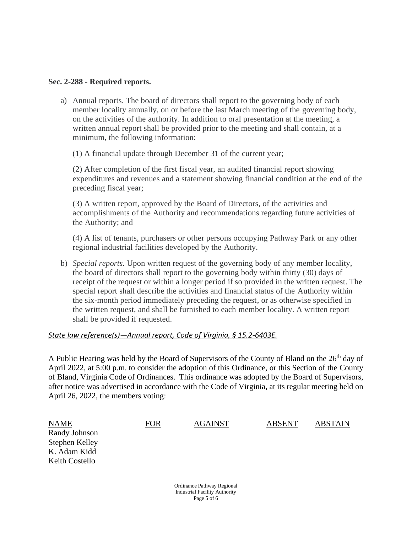#### **Sec. 2-288 - Required reports.**

a) Annual reports. The board of directors shall report to the governing body of each member locality annually, on or before the last March meeting of the governing body, on the activities of the authority. In addition to oral presentation at the meeting, a written annual report shall be provided prior to the meeting and shall contain, at a minimum, the following information:

(1) A financial update through December 31 of the current year;

(2) After completion of the first fiscal year, an audited financial report showing expenditures and revenues and a statement showing financial condition at the end of the preceding fiscal year;

(3) A written report, approved by the Board of Directors, of the activities and accomplishments of the Authority and recommendations regarding future activities of the Authority; and

(4) A list of tenants, purchasers or other persons occupying Pathway Park or any other regional industrial facilities developed by the Authority.

b) *Special reports.* Upon written request of the governing body of any member locality, the board of directors shall report to the governing body within thirty (30) days of receipt of the request or within a longer period if so provided in the written request. The special report shall describe the activities and financial status of the Authority within the six-month period immediately preceding the request, or as otherwise specified in the written request, and shall be furnished to each member locality. A written report shall be provided if requested.

#### *State law reference(s)—Annual report, Code of Virginia, § 15.2-6403E.*

A Public Hearing was held by the Board of Supervisors of the County of Bland on the  $26<sup>th</sup>$  day of April 2022, at 5:00 p.m. to consider the adoption of this Ordinance, or this Section of the County of Bland, Virginia Code of Ordinances. This ordinance was adopted by the Board of Supervisors, after notice was advertised in accordance with the Code of Virginia, at its regular meeting held on April 26, 2022, the members voting:

| <b>NAME</b>           | <b>FOR</b> | <b>AGAINST</b>             | <b>ABSENT</b> | <b>ABSTAIN</b> |
|-----------------------|------------|----------------------------|---------------|----------------|
| Randy Johnson         |            |                            |               |                |
| <b>Stephen Kelley</b> |            |                            |               |                |
| K. Adam Kidd          |            |                            |               |                |
| Keith Costello        |            |                            |               |                |
|                       |            |                            |               |                |
|                       |            | Ordinance Pathway Regional |               |                |